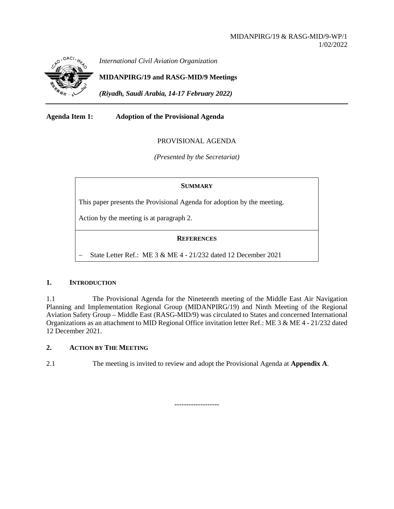

*International Civil Aviation Organization*

**MIDANPIRG/19 and RASG-MID/9 Meetings**

*(Riyadh, Saudi Arabia, 14-17 February 2022)*

**Agenda Item 1: Adoption of the Provisional Agenda**

# PROVISIONAL AGENDA

*(Presented by the Secretariat)*

### **SUMMARY**

This paper presents the Provisional Agenda for adoption by the meeting.

Action by the meeting is at paragraph 2.

# **REFERENCES**

− State Letter Ref.: ME 3 & ME 4 - 21/232 dated 12 December 2021

#### **1. INTRODUCTION**

1.1 The Provisional Agenda for the Nineteenth meeting of the Middle East Air Navigation Planning and Implementation Regional Group (MIDANPIRG/19) and Ninth Meeting of the Regional Aviation Safety Group – Middle East (RASG-MID/9) was circulated to States and concerned International Organizations as an attachment to MID Regional Office invitation letter Ref.: ME 3 & ME 4 - 21/232 dated 12 December 2021.

# **2. ACTION BY THE MEETING**

2.1 The meeting is invited to review and adopt the Provisional Agenda at **Appendix A**.

-------------------